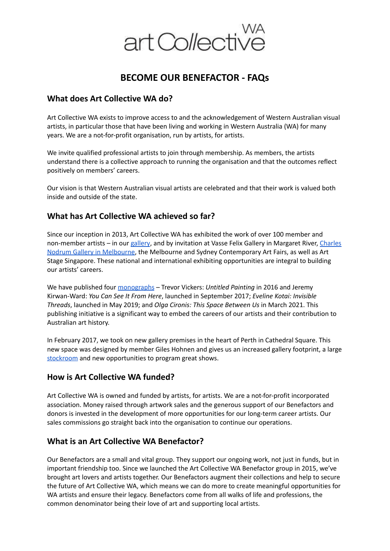

# **BECOME OUR BENEFACTOR - FAQs**

## **What does Art Collective WA do?**

Art Collective WA exists to improve access to and the acknowledgement of Western Australian visual artists, in particular those that have been living and working in Western Australia (WA) for many years. We are a not-for-profit organisation, run by artists, for artists.

We invite qualified professional artists to join through membership. As members, the artists understand there is a collective approach to running the organisation and that the outcomes reflect positively on members' careers.

Our vision is that Western Australian visual artists are celebrated and that their work is valued both inside and outside of the state.

#### **What has Art Collective WA achieved so far?**

Since our inception in 2013, Art Collective WA has exhibited the work of over 100 member and non-member artists – in our [gallery](http://www.artcollectivewa.com.au/contact-us/), and by invitation at Vasse Felix Gallery in Margaret River, [Charles](http://www.charlesnodrumgallery.com.au/) Nodrum Gallery in [Melbourne](http://www.charlesnodrumgallery.com.au/), the Melbourne and Sydney Contemporary Art Fairs, as well as Art Stage Singapore. These national and international exhibiting opportunities are integral to building our artists' careers.

We have published four [monographs](http://www.artcollectivewa.com.au/publications/) – Trevor Vickers: *Untitled Painting* in 2016 and Jeremy Kirwan-Ward: *You Can See It From Here*, launched in September 2017; *Eveline Kotai: Invisible Threads*, launched in May 2019; and *Olga Cironis: This Space Between Us* in March 2021. This publishing initiative is a significant way to embed the careers of our artists and their contribution to Australian art history.

In February 2017, we took on new gallery premises in the heart of Perth in Cathedral Square. This new space was designed by member Giles Hohnen and gives us an increased gallery footprint, a large [stockroom](https://artcollectivewa.com.au/stockroom/) and new opportunities to program great shows.

#### **How is Art Collective WA funded?**

Art Collective WA is owned and funded by artists, for artists. We are a not-for-profit incorporated association. Money raised through artwork sales and the generous support of our Benefactors and donors is invested in the development of more opportunities for our long-term career artists. Our sales commissions go straight back into the organisation to continue our operations.

#### **What is an Art Collective WA Benefactor?**

Our Benefactors are a small and vital group. They support our ongoing work, not just in funds, but in important friendship too. Since we launched the Art Collective WA Benefactor group in 2015, we've brought art lovers and artists together. Our Benefactors augment their collections and help to secure the future of Art Collective WA, which means we can do more to create meaningful opportunities for WA artists and ensure their legacy. Benefactors come from all walks of life and professions, the common denominator being their love of art and supporting local artists.